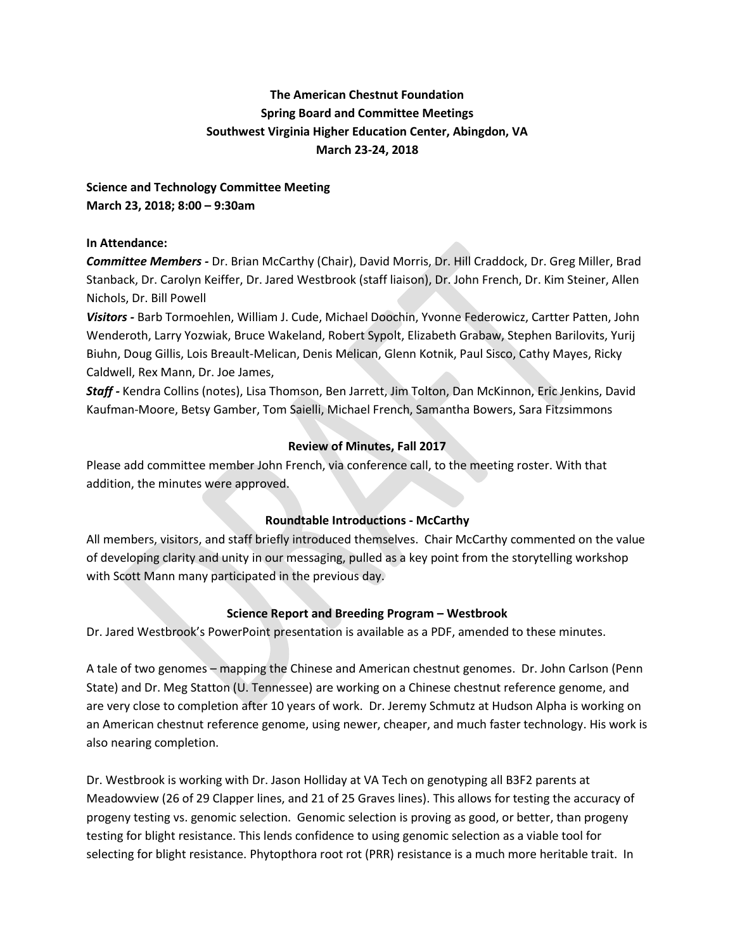# **The American Chestnut Foundation Spring Board and Committee Meetings Southwest Virginia Higher Education Center, Abingdon, VA March 23-24, 2018**

**Science and Technology Committee Meeting March 23, 2018; 8:00 – 9:30am**

### **In Attendance:**

*Committee Members -* Dr. Brian McCarthy (Chair), David Morris, Dr. Hill Craddock, Dr. Greg Miller, Brad Stanback, Dr. Carolyn Keiffer, Dr. Jared Westbrook (staff liaison), Dr. John French, Dr. Kim Steiner, Allen Nichols, Dr. Bill Powell

*Visitors -* Barb Tormoehlen, William J. Cude, Michael Doochin, Yvonne Federowicz, Cartter Patten, John Wenderoth, Larry Yozwiak, Bruce Wakeland, Robert Sypolt, Elizabeth Grabaw, Stephen Barilovits, Yurij Biuhn, Doug Gillis, Lois Breault-Melican, Denis Melican, Glenn Kotnik, Paul Sisco, Cathy Mayes, Ricky Caldwell, Rex Mann, Dr. Joe James,

*Staff -* Kendra Collins (notes), Lisa Thomson, Ben Jarrett, Jim Tolton, Dan McKinnon, Eric Jenkins, David Kaufman-Moore, Betsy Gamber, Tom Saielli, Michael French, Samantha Bowers, Sara Fitzsimmons

## **Review of Minutes, Fall 2017**

Please add committee member John French, via conference call, to the meeting roster. With that addition, the minutes were approved.

## **Roundtable Introductions - McCarthy**

All members, visitors, and staff briefly introduced themselves. Chair McCarthy commented on the value of developing clarity and unity in our messaging, pulled as a key point from the storytelling workshop with Scott Mann many participated in the previous day.

#### **Science Report and Breeding Program – Westbrook**

Dr. Jared Westbrook's PowerPoint presentation is available as a PDF, amended to these minutes.

A tale of two genomes – mapping the Chinese and American chestnut genomes. Dr. John Carlson (Penn State) and Dr. Meg Statton (U. Tennessee) are working on a Chinese chestnut reference genome, and are very close to completion after 10 years of work. Dr. Jeremy Schmutz at Hudson Alpha is working on an American chestnut reference genome, using newer, cheaper, and much faster technology. His work is also nearing completion.

Dr. Westbrook is working with Dr. Jason Holliday at VA Tech on genotyping all B3F2 parents at Meadowview (26 of 29 Clapper lines, and 21 of 25 Graves lines). This allows for testing the accuracy of progeny testing vs. genomic selection. Genomic selection is proving as good, or better, than progeny testing for blight resistance. This lends confidence to using genomic selection as a viable tool for selecting for blight resistance. Phytopthora root rot (PRR) resistance is a much more heritable trait. In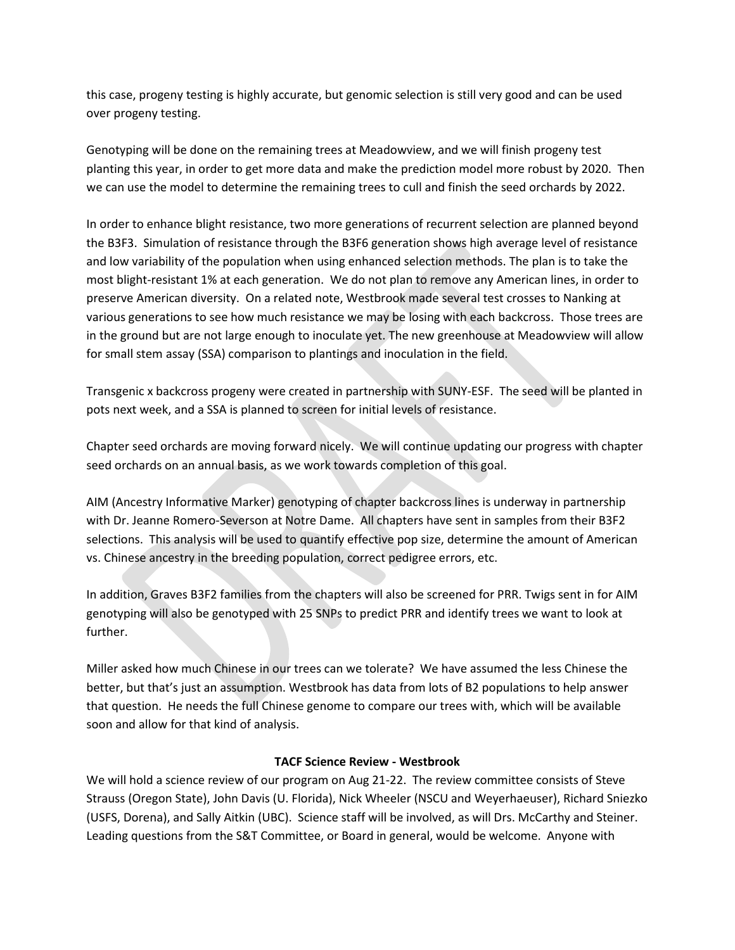this case, progeny testing is highly accurate, but genomic selection is still very good and can be used over progeny testing.

Genotyping will be done on the remaining trees at Meadowview, and we will finish progeny test planting this year, in order to get more data and make the prediction model more robust by 2020. Then we can use the model to determine the remaining trees to cull and finish the seed orchards by 2022.

In order to enhance blight resistance, two more generations of recurrent selection are planned beyond the B3F3. Simulation of resistance through the B3F6 generation shows high average level of resistance and low variability of the population when using enhanced selection methods. The plan is to take the most blight-resistant 1% at each generation. We do not plan to remove any American lines, in order to preserve American diversity. On a related note, Westbrook made several test crosses to Nanking at various generations to see how much resistance we may be losing with each backcross. Those trees are in the ground but are not large enough to inoculate yet. The new greenhouse at Meadowview will allow for small stem assay (SSA) comparison to plantings and inoculation in the field.

Transgenic x backcross progeny were created in partnership with SUNY-ESF. The seed will be planted in pots next week, and a SSA is planned to screen for initial levels of resistance.

Chapter seed orchards are moving forward nicely. We will continue updating our progress with chapter seed orchards on an annual basis, as we work towards completion of this goal.

AIM (Ancestry Informative Marker) genotyping of chapter backcross lines is underway in partnership with Dr. Jeanne Romero-Severson at Notre Dame. All chapters have sent in samples from their B3F2 selections. This analysis will be used to quantify effective pop size, determine the amount of American vs. Chinese ancestry in the breeding population, correct pedigree errors, etc.

In addition, Graves B3F2 families from the chapters will also be screened for PRR. Twigs sent in for AIM genotyping will also be genotyped with 25 SNPs to predict PRR and identify trees we want to look at further.

Miller asked how much Chinese in our trees can we tolerate? We have assumed the less Chinese the better, but that's just an assumption. Westbrook has data from lots of B2 populations to help answer that question. He needs the full Chinese genome to compare our trees with, which will be available soon and allow for that kind of analysis.

#### **TACF Science Review - Westbrook**

We will hold a science review of our program on Aug 21-22. The review committee consists of Steve Strauss (Oregon State), John Davis (U. Florida), Nick Wheeler (NSCU and Weyerhaeuser), Richard Sniezko (USFS, Dorena), and Sally Aitkin (UBC). Science staff will be involved, as will Drs. McCarthy and Steiner. Leading questions from the S&T Committee, or Board in general, would be welcome. Anyone with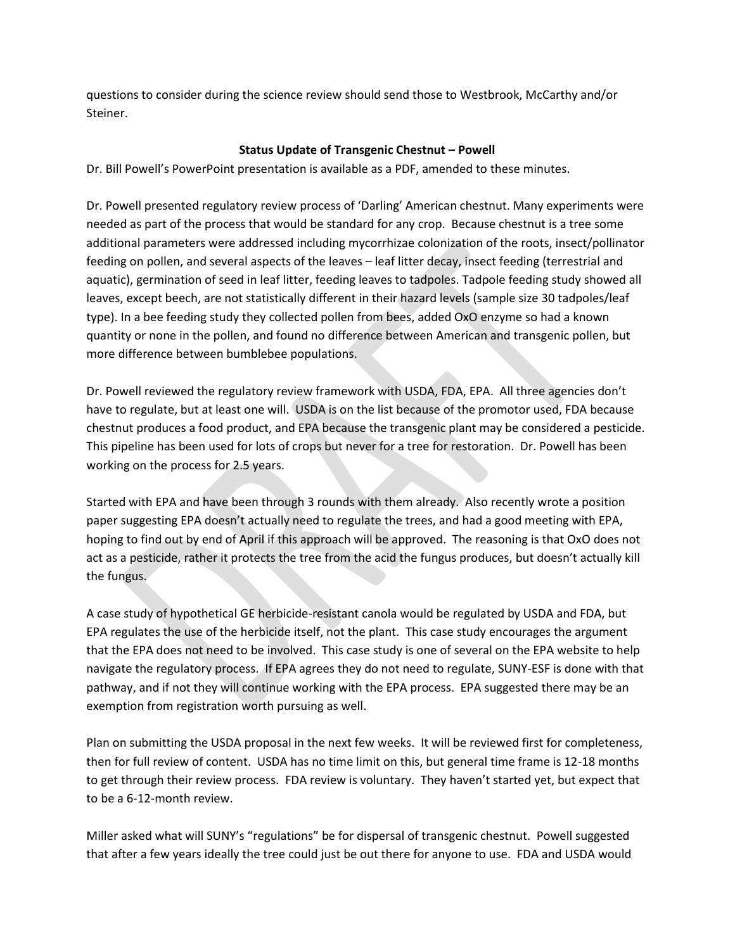questions to consider during the science review should send those to Westbrook, McCarthy and/or Steiner.

### **Status Update of Transgenic Chestnut – Powell**

Dr. Bill Powell's PowerPoint presentation is available as a PDF, amended to these minutes.

Dr. Powell presented regulatory review process of 'Darling' American chestnut. Many experiments were needed as part of the process that would be standard for any crop. Because chestnut is a tree some additional parameters were addressed including mycorrhizae colonization of the roots, insect/pollinator feeding on pollen, and several aspects of the leaves – leaf litter decay, insect feeding (terrestrial and aquatic), germination of seed in leaf litter, feeding leaves to tadpoles. Tadpole feeding study showed all leaves, except beech, are not statistically different in their hazard levels (sample size 30 tadpoles/leaf type). In a bee feeding study they collected pollen from bees, added OxO enzyme so had a known quantity or none in the pollen, and found no difference between American and transgenic pollen, but more difference between bumblebee populations.

Dr. Powell reviewed the regulatory review framework with USDA, FDA, EPA. All three agencies don't have to regulate, but at least one will. USDA is on the list because of the promotor used, FDA because chestnut produces a food product, and EPA because the transgenic plant may be considered a pesticide. This pipeline has been used for lots of crops but never for a tree for restoration. Dr. Powell has been working on the process for 2.5 years.

Started with EPA and have been through 3 rounds with them already. Also recently wrote a position paper suggesting EPA doesn't actually need to regulate the trees, and had a good meeting with EPA, hoping to find out by end of April if this approach will be approved. The reasoning is that OxO does not act as a pesticide, rather it protects the tree from the acid the fungus produces, but doesn't actually kill the fungus.

A case study of hypothetical GE herbicide-resistant canola would be regulated by USDA and FDA, but EPA regulates the use of the herbicide itself, not the plant. This case study encourages the argument that the EPA does not need to be involved. This case study is one of several on the EPA website to help navigate the regulatory process. If EPA agrees they do not need to regulate, SUNY-ESF is done with that pathway, and if not they will continue working with the EPA process. EPA suggested there may be an exemption from registration worth pursuing as well.

Plan on submitting the USDA proposal in the next few weeks. It will be reviewed first for completeness, then for full review of content. USDA has no time limit on this, but general time frame is 12-18 months to get through their review process. FDA review is voluntary. They haven't started yet, but expect that to be a 6-12-month review.

Miller asked what will SUNY's "regulations" be for dispersal of transgenic chestnut. Powell suggested that after a few years ideally the tree could just be out there for anyone to use. FDA and USDA would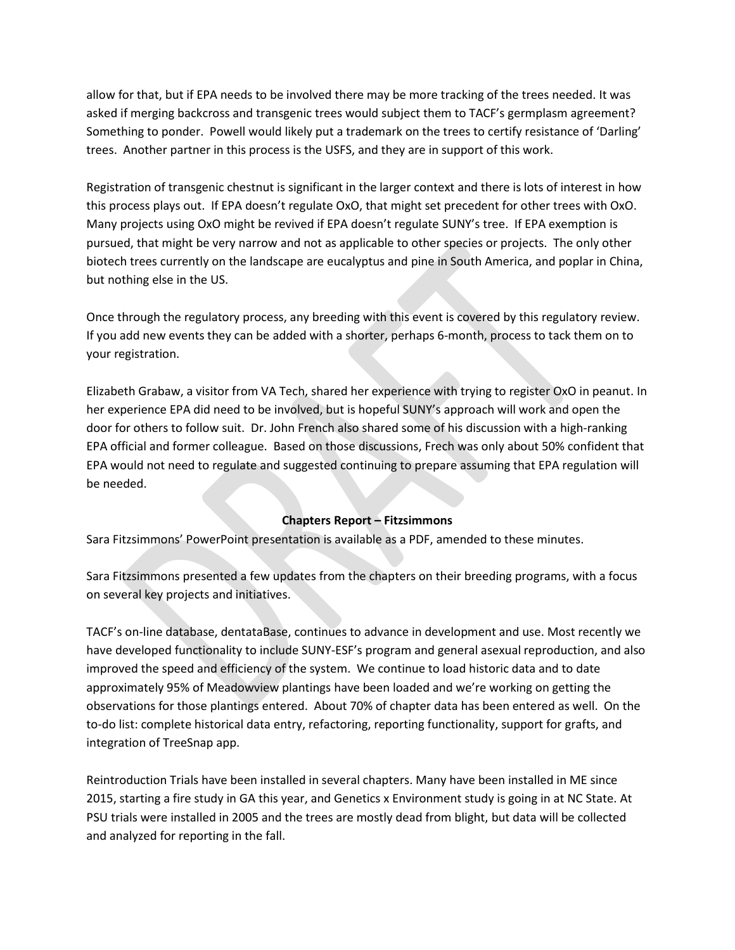allow for that, but if EPA needs to be involved there may be more tracking of the trees needed. It was asked if merging backcross and transgenic trees would subject them to TACF's germplasm agreement? Something to ponder. Powell would likely put a trademark on the trees to certify resistance of 'Darling' trees. Another partner in this process is the USFS, and they are in support of this work.

Registration of transgenic chestnut is significant in the larger context and there is lots of interest in how this process plays out. If EPA doesn't regulate OxO, that might set precedent for other trees with OxO. Many projects using OxO might be revived if EPA doesn't regulate SUNY's tree. If EPA exemption is pursued, that might be very narrow and not as applicable to other species or projects. The only other biotech trees currently on the landscape are eucalyptus and pine in South America, and poplar in China, but nothing else in the US.

Once through the regulatory process, any breeding with this event is covered by this regulatory review. If you add new events they can be added with a shorter, perhaps 6-month, process to tack them on to your registration.

Elizabeth Grabaw, a visitor from VA Tech, shared her experience with trying to register OxO in peanut. In her experience EPA did need to be involved, but is hopeful SUNY's approach will work and open the door for others to follow suit. Dr. John French also shared some of his discussion with a high-ranking EPA official and former colleague. Based on those discussions, Frech was only about 50% confident that EPA would not need to regulate and suggested continuing to prepare assuming that EPA regulation will be needed.

#### **Chapters Report – Fitzsimmons**

Sara Fitzsimmons' PowerPoint presentation is available as a PDF, amended to these minutes.

Sara Fitzsimmons presented a few updates from the chapters on their breeding programs, with a focus on several key projects and initiatives.

TACF's on-line database, dentataBase, continues to advance in development and use. Most recently we have developed functionality to include SUNY-ESF's program and general asexual reproduction, and also improved the speed and efficiency of the system. We continue to load historic data and to date approximately 95% of Meadowview plantings have been loaded and we're working on getting the observations for those plantings entered. About 70% of chapter data has been entered as well. On the to-do list: complete historical data entry, refactoring, reporting functionality, support for grafts, and integration of TreeSnap app.

Reintroduction Trials have been installed in several chapters. Many have been installed in ME since 2015, starting a fire study in GA this year, and Genetics x Environment study is going in at NC State. At PSU trials were installed in 2005 and the trees are mostly dead from blight, but data will be collected and analyzed for reporting in the fall.